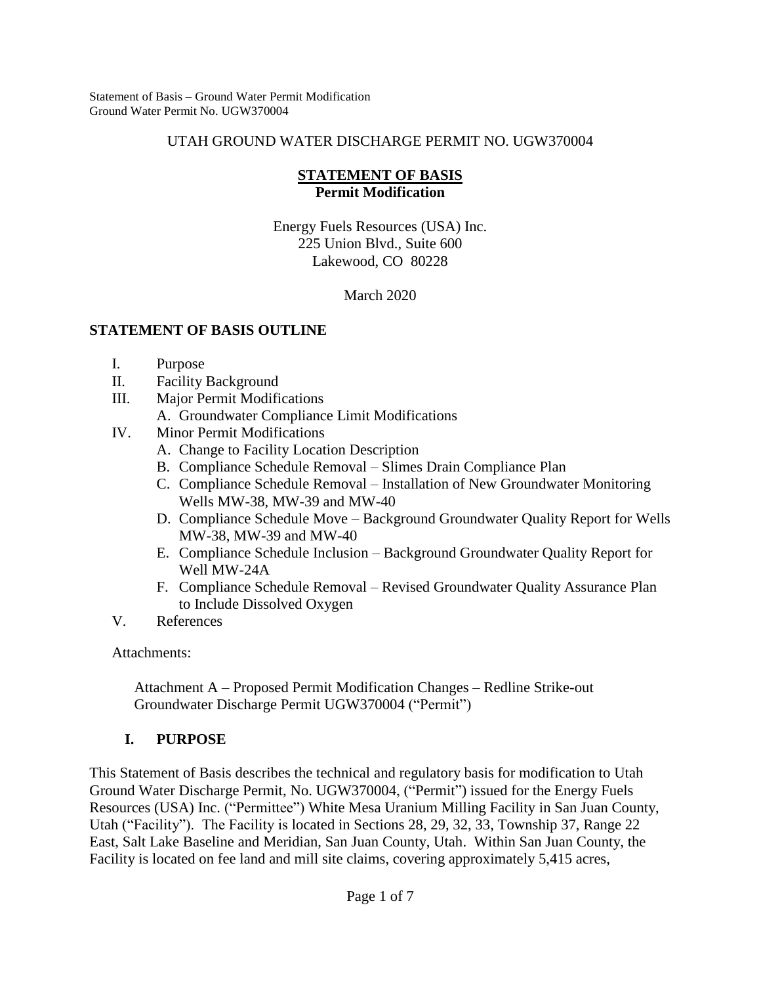#### UTAH GROUND WATER DISCHARGE PERMIT NO. UGW370004

#### **STATEMENT OF BASIS Permit Modification**

Energy Fuels Resources (USA) Inc. 225 Union Blvd., Suite 600 Lakewood, CO 80228

March 2020

### **STATEMENT OF BASIS OUTLINE**

- I. Purpose
- II. Facility Background
- III. Major Permit Modifications
	- A. Groundwater Compliance Limit Modifications
- IV. Minor Permit Modifications
	- A. Change to Facility Location Description
	- B. Compliance Schedule Removal Slimes Drain Compliance Plan
	- C. Compliance Schedule Removal Installation of New Groundwater Monitoring Wells MW-38, MW-39 and MW-40
	- D. Compliance Schedule Move Background Groundwater Quality Report for Wells MW-38, MW-39 and MW-40
	- E. Compliance Schedule Inclusion Background Groundwater Quality Report for Well MW-24A
	- F. Compliance Schedule Removal Revised Groundwater Quality Assurance Plan to Include Dissolved Oxygen
- V. References

Attachments:

Attachment A – Proposed Permit Modification Changes – Redline Strike-out Groundwater Discharge Permit UGW370004 ("Permit")

## **I. PURPOSE**

This Statement of Basis describes the technical and regulatory basis for modification to Utah Ground Water Discharge Permit, No. UGW370004, ("Permit") issued for the Energy Fuels Resources (USA) Inc. ("Permittee") White Mesa Uranium Milling Facility in San Juan County, Utah ("Facility"). The Facility is located in Sections 28, 29, 32, 33, Township 37, Range 22 East, Salt Lake Baseline and Meridian, San Juan County, Utah. Within San Juan County, the Facility is located on fee land and mill site claims, covering approximately 5,415 acres,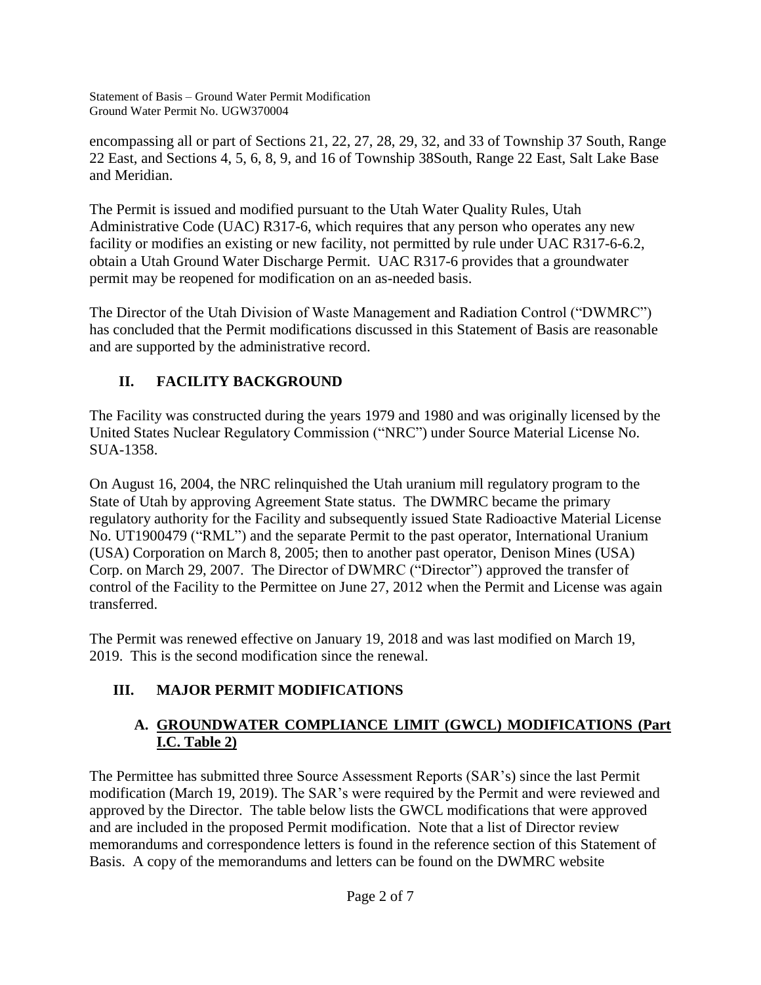encompassing all or part of Sections 21, 22, 27, 28, 29, 32, and 33 of Township 37 South, Range 22 East, and Sections 4, 5, 6, 8, 9, and 16 of Township 38South, Range 22 East, Salt Lake Base and Meridian.

The Permit is issued and modified pursuant to the Utah Water Quality Rules, Utah Administrative Code (UAC) R317-6, which requires that any person who operates any new facility or modifies an existing or new facility, not permitted by rule under UAC R317-6-6.2, obtain a Utah Ground Water Discharge Permit. UAC R317-6 provides that a groundwater permit may be reopened for modification on an as-needed basis.

The Director of the Utah Division of Waste Management and Radiation Control ("DWMRC") has concluded that the Permit modifications discussed in this Statement of Basis are reasonable and are supported by the administrative record.

## **II. FACILITY BACKGROUND**

The Facility was constructed during the years 1979 and 1980 and was originally licensed by the United States Nuclear Regulatory Commission ("NRC") under Source Material License No. SUA-1358.

On August 16, 2004, the NRC relinquished the Utah uranium mill regulatory program to the State of Utah by approving Agreement State status. The DWMRC became the primary regulatory authority for the Facility and subsequently issued State Radioactive Material License No. UT1900479 ("RML") and the separate Permit to the past operator, International Uranium (USA) Corporation on March 8, 2005; then to another past operator, Denison Mines (USA) Corp. on March 29, 2007. The Director of DWMRC ("Director") approved the transfer of control of the Facility to the Permittee on June 27, 2012 when the Permit and License was again transferred.

The Permit was renewed effective on January 19, 2018 and was last modified on March 19, 2019. This is the second modification since the renewal.

# **III. MAJOR PERMIT MODIFICATIONS**

## **A. GROUNDWATER COMPLIANCE LIMIT (GWCL) MODIFICATIONS (Part I.C. Table 2)**

The Permittee has submitted three Source Assessment Reports (SAR's) since the last Permit modification (March 19, 2019). The SAR's were required by the Permit and were reviewed and approved by the Director. The table below lists the GWCL modifications that were approved and are included in the proposed Permit modification. Note that a list of Director review memorandums and correspondence letters is found in the reference section of this Statement of Basis. A copy of the memorandums and letters can be found on the DWMRC website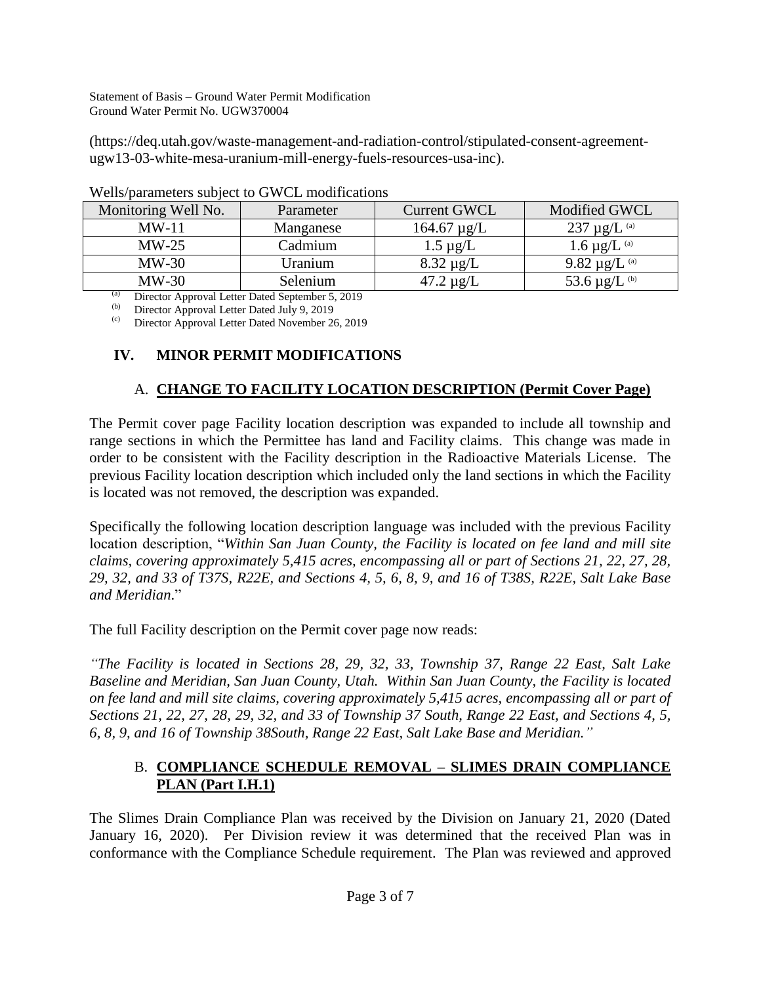(https://deq.utah.gov/waste-management-and-radiation-control/stipulated-consent-agreementugw13-03-white-mesa-uranium-mill-energy-fuels-resources-usa-inc).

| Monitoring Well No. | Parameter | <b>Current GWCL</b> | Modified GWCL                 |
|---------------------|-----------|---------------------|-------------------------------|
| $MW-11$             | Manganese | $164.67 \mu g/L$    | 237 $\mu$ g/L $^{(a)}$        |
| $MW-25$             | Cadmium   | $1.5 \mu g/L$       | 1.6 $\mu$ g/L <sup>(a)</sup>  |
| $MW-30$             | Uranium   | $8.32 \mu g/L$      | 9.82 $\mu$ g/L $^{(a)}$       |
| $MW-30$             | Selenium  | $47.2 \mu$ g/L      | 53.6 $\mu$ g/L <sup>(b)</sup> |
|                     |           |                     |                               |

(a) Director Approval Letter Dated September 5, 2019

Director Approval Letter Dated July 9, 2019

(c) Director Approval Letter Dated November 26, 2019

## **IV. MINOR PERMIT MODIFICATIONS**

## A. **CHANGE TO FACILITY LOCATION DESCRIPTION (Permit Cover Page)**

The Permit cover page Facility location description was expanded to include all township and range sections in which the Permittee has land and Facility claims. This change was made in order to be consistent with the Facility description in the Radioactive Materials License. The previous Facility location description which included only the land sections in which the Facility is located was not removed, the description was expanded.

Specifically the following location description language was included with the previous Facility location description, "*Within San Juan County, the Facility is located on fee land and mill site claims, covering approximately 5,415 acres, encompassing all or part of Sections 21, 22, 27, 28, 29, 32, and 33 of T37S, R22E, and Sections 4, 5, 6, 8, 9, and 16 of T38S, R22E, Salt Lake Base and Meridian*."

The full Facility description on the Permit cover page now reads:

*"The Facility is located in Sections 28, 29, 32, 33, Township 37, Range 22 East, Salt Lake Baseline and Meridian, San Juan County, Utah. Within San Juan County, the Facility is located on fee land and mill site claims, covering approximately 5,415 acres, encompassing all or part of Sections 21, 22, 27, 28, 29, 32, and 33 of Township 37 South, Range 22 East, and Sections 4, 5, 6, 8, 9, and 16 of Township 38South, Range 22 East, Salt Lake Base and Meridian."*

### B. **COMPLIANCE SCHEDULE REMOVAL – SLIMES DRAIN COMPLIANCE PLAN (Part I.H.1)**

The Slimes Drain Compliance Plan was received by the Division on January 21, 2020 (Dated January 16, 2020). Per Division review it was determined that the received Plan was in conformance with the Compliance Schedule requirement. The Plan was reviewed and approved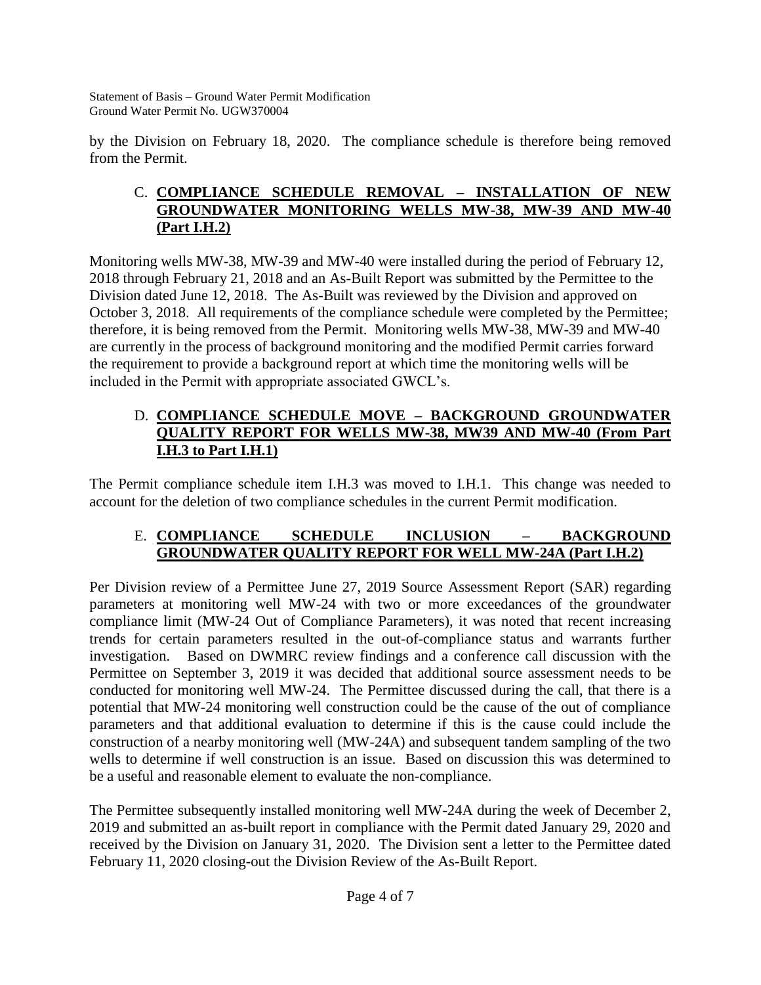by the Division on February 18, 2020. The compliance schedule is therefore being removed from the Permit.

### C. **COMPLIANCE SCHEDULE REMOVAL – INSTALLATION OF NEW GROUNDWATER MONITORING WELLS MW-38, MW-39 AND MW-40 (Part I.H.2)**

Monitoring wells MW-38, MW-39 and MW-40 were installed during the period of February 12, 2018 through February 21, 2018 and an As-Built Report was submitted by the Permittee to the Division dated June 12, 2018. The As-Built was reviewed by the Division and approved on October 3, 2018. All requirements of the compliance schedule were completed by the Permittee; therefore, it is being removed from the Permit. Monitoring wells MW-38, MW-39 and MW-40 are currently in the process of background monitoring and the modified Permit carries forward the requirement to provide a background report at which time the monitoring wells will be included in the Permit with appropriate associated GWCL's.

### D. **COMPLIANCE SCHEDULE MOVE – BACKGROUND GROUNDWATER QUALITY REPORT FOR WELLS MW-38, MW39 AND MW-40 (From Part I.H.3 to Part I.H.1)**

The Permit compliance schedule item I.H.3 was moved to I.H.1. This change was needed to account for the deletion of two compliance schedules in the current Permit modification.

### E. **COMPLIANCE SCHEDULE INCLUSION – BACKGROUND GROUNDWATER QUALITY REPORT FOR WELL MW-24A (Part I.H.2)**

Per Division review of a Permittee June 27, 2019 Source Assessment Report (SAR) regarding parameters at monitoring well MW-24 with two or more exceedances of the groundwater compliance limit (MW-24 Out of Compliance Parameters), it was noted that recent increasing trends for certain parameters resulted in the out-of-compliance status and warrants further investigation. Based on DWMRC review findings and a conference call discussion with the Permittee on September 3, 2019 it was decided that additional source assessment needs to be conducted for monitoring well MW-24. The Permittee discussed during the call, that there is a potential that MW-24 monitoring well construction could be the cause of the out of compliance parameters and that additional evaluation to determine if this is the cause could include the construction of a nearby monitoring well (MW-24A) and subsequent tandem sampling of the two wells to determine if well construction is an issue. Based on discussion this was determined to be a useful and reasonable element to evaluate the non-compliance.

The Permittee subsequently installed monitoring well MW-24A during the week of December 2, 2019 and submitted an as-built report in compliance with the Permit dated January 29, 2020 and received by the Division on January 31, 2020. The Division sent a letter to the Permittee dated February 11, 2020 closing-out the Division Review of the As-Built Report.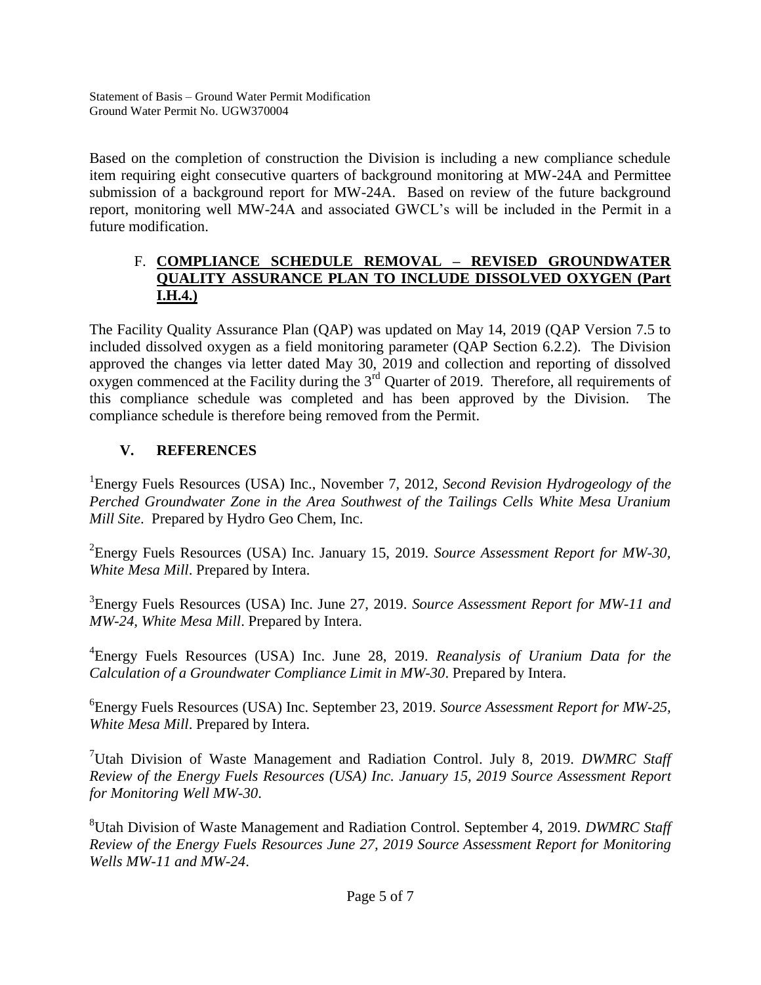Based on the completion of construction the Division is including a new compliance schedule item requiring eight consecutive quarters of background monitoring at MW-24A and Permittee submission of a background report for MW-24A. Based on review of the future background report, monitoring well MW-24A and associated GWCL's will be included in the Permit in a future modification.

### F. **COMPLIANCE SCHEDULE REMOVAL – REVISED GROUNDWATER QUALITY ASSURANCE PLAN TO INCLUDE DISSOLVED OXYGEN (Part I.H.4.)**

The Facility Quality Assurance Plan (QAP) was updated on May 14, 2019 (QAP Version 7.5 to included dissolved oxygen as a field monitoring parameter (QAP Section 6.2.2). The Division approved the changes via letter dated May 30, 2019 and collection and reporting of dissolved oxygen commenced at the Facility during the 3<sup>rd</sup> Quarter of 2019. Therefore, all requirements of this compliance schedule was completed and has been approved by the Division. The compliance schedule is therefore being removed from the Permit.

## **V. REFERENCES**

<sup>1</sup> Energy Fuels Resources (USA) Inc., November 7, 2012, Second Revision Hydrogeology of the *Perched Groundwater Zone in the Area Southwest of the Tailings Cells White Mesa Uranium Mill Site*. Prepared by Hydro Geo Chem, Inc.

2 Energy Fuels Resources (USA) Inc. January 15, 2019. *Source Assessment Report for MW-30, White Mesa Mill*. Prepared by Intera.

3 Energy Fuels Resources (USA) Inc. June 27, 2019. *Source Assessment Report for MW-11 and MW-24, White Mesa Mill*. Prepared by Intera.

4 Energy Fuels Resources (USA) Inc. June 28, 2019. *Reanalysis of Uranium Data for the Calculation of a Groundwater Compliance Limit in MW-30*. Prepared by Intera.

6 Energy Fuels Resources (USA) Inc. September 23, 2019. *Source Assessment Report for MW-25, White Mesa Mill*. Prepared by Intera.

<sup>7</sup>Utah Division of Waste Management and Radiation Control. July 8, 2019. *DWMRC Staff Review of the Energy Fuels Resources (USA) Inc. January 15, 2019 Source Assessment Report for Monitoring Well MW-30*.

<sup>8</sup>Utah Division of Waste Management and Radiation Control. September 4, 2019. *DWMRC Staff Review of the Energy Fuels Resources June 27, 2019 Source Assessment Report for Monitoring Wells MW-11 and MW-24*.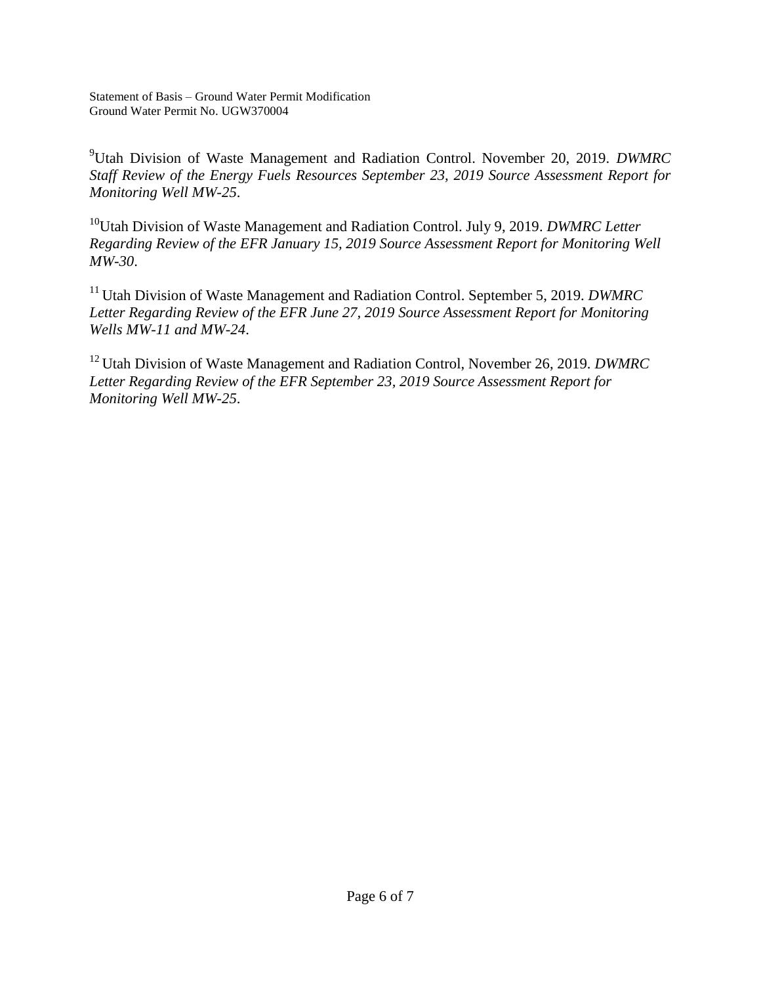<sup>9</sup>Utah Division of Waste Management and Radiation Control. November 20, 2019. *DWMRC Staff Review of the Energy Fuels Resources September 23, 2019 Source Assessment Report for Monitoring Well MW-25*.

<sup>10</sup>Utah Division of Waste Management and Radiation Control. July 9, 2019. *DWMRC Letter Regarding Review of the EFR January 15, 2019 Source Assessment Report for Monitoring Well MW-30*.

<sup>11</sup> Utah Division of Waste Management and Radiation Control. September 5, 2019. *DWMRC Letter Regarding Review of the EFR June 27, 2019 Source Assessment Report for Monitoring Wells MW-11 and MW-24*.

<sup>12</sup> Utah Division of Waste Management and Radiation Control, November 26, 2019. *DWMRC Letter Regarding Review of the EFR September 23, 2019 Source Assessment Report for Monitoring Well MW-25*.